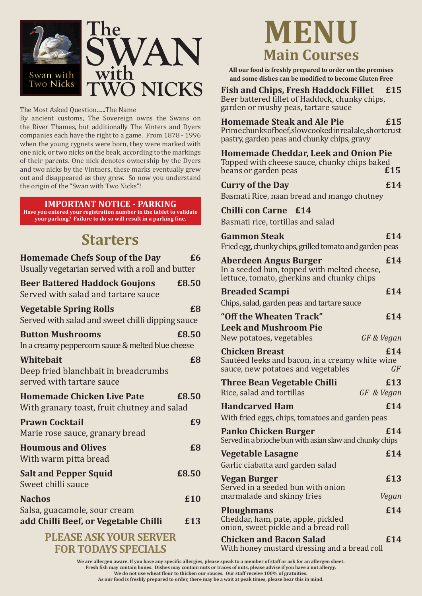

The Most Asked Question......The Name

By ancient customs, The Sovereign owns the Swans on the River Thames, but additionally The Vinters and Dyers companies each have the right to a game. From 1878 - 1996 when the young cygnets were born, they were marked with one nick, or two nicks on the beak, according to the markings of their parents. One nick denotes ownership by the Dyers and two nicks by the Vintners, these marks eventually grew out and disappeared as they grew. So now you understand the origin of the "Swan with Two Nicks"!

#### **IMPORTANT NOTICE - PARKING**

**Have you entered your registration number in the tablet to validate your parking? Failure to do so will result in a parking fine.**

## **Starters**

| <b>Homemade Chefs Soup of the Day</b><br>Usually vegetarian served with a roll and butter | £6         |
|-------------------------------------------------------------------------------------------|------------|
| <b>Beer Battered Haddock Goujons</b><br>Served with salad and tartare sauce               | £8.50      |
| <b>Vegetable Spring Rolls</b><br>Served with salad and sweet chilli dipping sauce         | £8         |
| <b>Button Mushrooms</b><br>In a creamy peppercorn sauce & melted blue cheese              | £8.50      |
| Whitebait<br>Deep fried blanchbait in breadcrumbs<br>served with tartare sauce            | £8         |
| <b>Homemade Chicken Live Pate</b><br>With granary toast, fruit chutney and salad          | £8.50      |
| <b>Prawn Cocktail</b><br>Marie rose sauce, granary bread                                  | £9         |
| <b>Houmous and Olives</b><br>With warm pitta bread                                        | £8         |
| <b>Salt and Pepper Squid</b><br>Sweet chilli sauce                                        | £8.50      |
| <b>Nachos</b><br>Salsa, guacamole, sour cream<br>add Chilli Beef, or Vegetable Chilli     | £10<br>£13 |
| DI FACE ACK VOIID CEDVED                                                                  |            |

#### **PLEASE ASK YOUR SERVER FOR TODAYS SPECIALS**

# **MENU Main Courses**

**All our food is freshly prepared to order on the premises and some dishes can be modified to become Gluten Free**

### **Fish and Chips, Fresh Haddock Fillet £15**

Beer battered fillet of Haddock, chunky chips, garden or mushy peas, tartare sauce

### **Homemade Steak and Ale Pie £15**

Prime chunks of beef, slow cooked in real ale, shortcrust pastry, garden peas and chunky chips, gravy

#### **Homemade Cheddar, Leek and Onion Pie**  Topped with cheese sauce, chunky chips baked<br>beans or garden peas beans or garden peas

### **Curry of the Day 6.14**

Basmati Rice, naan bread and mango chutney

#### **Chilli con Carne £14**

Basmati rice, tortillas and salad

| <b>Gammon Steak</b>                                     | £14 |
|---------------------------------------------------------|-----|
| Fried egg, chunky chips, grilled tomato and garden peas |     |
|                                                         |     |

#### **Aberdeen Angus Burger £14** In a seeded bun, topped with melted cheese, lettuce, tomato, gherkins and chunky chips

| <b>Breaded Scampi</b>                                                                                          | £14        |
|----------------------------------------------------------------------------------------------------------------|------------|
| Chips, salad, garden peas and tartare sauce                                                                    |            |
| "Off the Wheaten Track"                                                                                        | £14        |
| <b>Leek and Mushroom Pie</b>                                                                                   |            |
| New potatoes, vegetables                                                                                       | GF & Vegan |
| <b>Chicken Breast</b><br>Sautéed leeks and bacon, in a creamy white wine<br>sauce, new potatoes and vegetables | £14<br>GF  |
| <b>Three Bean Vegetable Chilli</b>                                                                             | £13        |
| Rice, salad and tortillas                                                                                      | GF & Vegan |
| <b>Handcarved Ham</b>                                                                                          | £14        |
| With fried eggs, chips, tomatoes and garden peas                                                               |            |
| <b>Panko Chicken Burger</b><br>Served in a brioche bun with asian slaw and chunky chips                        | £14        |
| <b>Vegetable Lasagne</b>                                                                                       | £14        |
| Garlic ciabatta and garden salad                                                                               |            |
| <b>Vegan Burger</b>                                                                                            | £13        |
| Served in a seeded bun with onion                                                                              |            |
| marmalade and skinny fries                                                                                     | Vegan      |
| <b>Ploughmans</b>                                                                                              | £14        |
| Cheddar, ham, pate, apple, pickled<br>onion, sweet pickle and a bread roll                                     |            |
| <b>Chicken and Bacon Salad</b><br>With honey mustard dressing and a bread roll                                 | £14        |

**We are allergen aware. If you have any specific allergies, please speak to a member of staff or ask for an allergen sheet. Fresh fish may contain bones. Dishes may contain nuts or traces of nuts, please advise if you have a nut allergy. We do not use wheat flour to thicken our sauces. Our staff receive 100% of gratuities. As our food is freshly prepared to order, there may be a wait at peak times, please bear this in mind.**